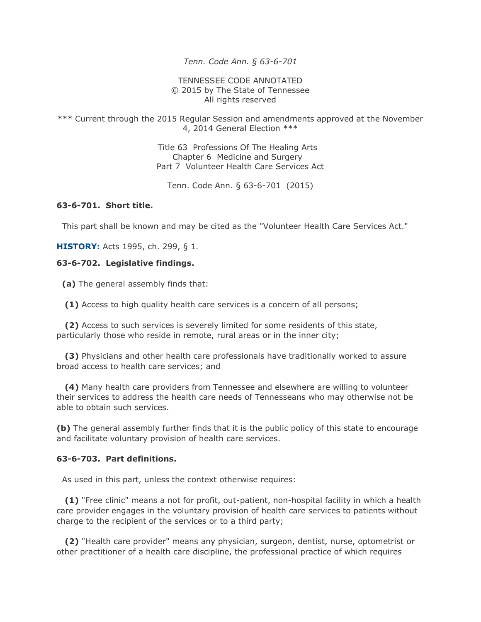*Tenn. Code Ann. § 63-6-701* 

TENNESSEE CODE ANNOTATED © 2015 by The State of Tennessee All rights reserved

\*\*\* Current through the 2015 Regular Session and amendments approved at the November 4, 2014 General Election \*\*\*

> Title 63 Professions Of The Healing Arts Chapter 6 Medicine and Surgery Part 7 Volunteer Health Care Services Act

Tenn. Code Ann. § 63-6-701 (2015)

### **63-6-701. Short title.**

This part shall be known and may be cited as the "Volunteer Health Care Services Act."

**HISTORY:** Acts 1995, ch. 299, § 1.

#### **63-6-702. Legislative findings.**

**(a)** The general assembly finds that:

**(1)** Access to high quality health care services is a concern of all persons;

 **(2)** Access to such services is severely limited for some residents of this state, particularly those who reside in remote, rural areas or in the inner city;

 **(3)** Physicians and other health care professionals have traditionally worked to assure broad access to health care services; and

 **(4)** Many health care providers from Tennessee and elsewhere are willing to volunteer their services to address the health care needs of Tennesseans who may otherwise not be able to obtain such services.

**(b)** The general assembly further finds that it is the public policy of this state to encourage and facilitate voluntary provision of health care services.

#### **63-6-703. Part definitions.**

As used in this part, unless the context otherwise requires:

 **(1)** "Free clinic" means a not for profit, out-patient, non-hospital facility in which a health care provider engages in the voluntary provision of health care services to patients without charge to the recipient of the services or to a third party;

 **(2)** "Health care provider" means any physician, surgeon, dentist, nurse, optometrist or other practitioner of a health care discipline, the professional practice of which requires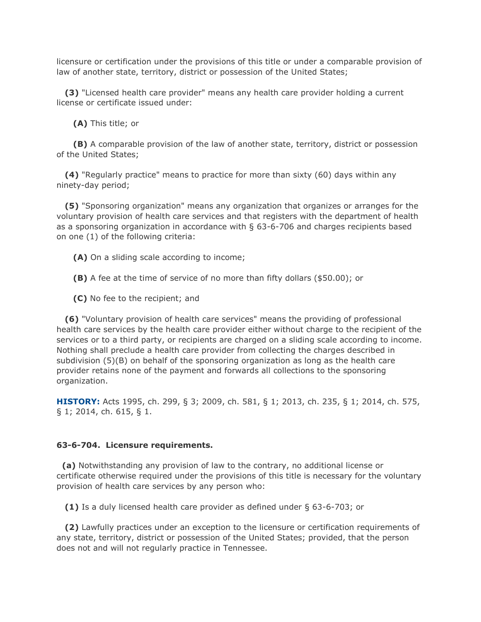licensure or certification under the provisions of this title or under a comparable provision of law of another state, territory, district or possession of the United States;

 **(3)** "Licensed health care provider" means any health care provider holding a current license or certificate issued under:

**(A)** This title; or

 **(B)** A comparable provision of the law of another state, territory, district or possession of the United States;

 **(4)** "Regularly practice" means to practice for more than sixty (60) days within any ninety-day period;

 **(5)** "Sponsoring organization" means any organization that organizes or arranges for the voluntary provision of health care services and that registers with the department of health as a sponsoring organization in accordance with § 63-6-706 and charges recipients based on one (1) of the following criteria:

**(A)** On a sliding scale according to income;

**(B)** A fee at the time of service of no more than fifty dollars (\$50.00); or

**(C)** No fee to the recipient; and

 **(6)** "Voluntary provision of health care services" means the providing of professional health care services by the health care provider either without charge to the recipient of the services or to a third party, or recipients are charged on a sliding scale according to income. Nothing shall preclude a health care provider from collecting the charges described in subdivision (5)(B) on behalf of the sponsoring organization as long as the health care provider retains none of the payment and forwards all collections to the sponsoring organization.

**HISTORY:** Acts 1995, ch. 299, § 3; 2009, ch. 581, § 1; 2013, ch. 235, § 1; 2014, ch. 575, § 1; 2014, ch. 615, § 1.

#### **63-6-704. Licensure requirements.**

 **(a)** Notwithstanding any provision of law to the contrary, no additional license or certificate otherwise required under the provisions of this title is necessary for the voluntary provision of health care services by any person who:

**(1)** Is a duly licensed health care provider as defined under § 63-6-703; or

 **(2)** Lawfully practices under an exception to the licensure or certification requirements of any state, territory, district or possession of the United States; provided, that the person does not and will not regularly practice in Tennessee.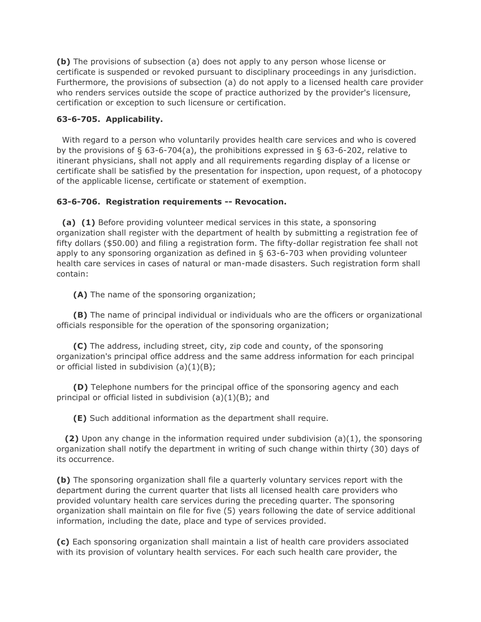**(b)** The provisions of subsection (a) does not apply to any person whose license or certificate is suspended or revoked pursuant to disciplinary proceedings in any jurisdiction. Furthermore, the provisions of subsection (a) do not apply to a licensed health care provider who renders services outside the scope of practice authorized by the provider's licensure, certification or exception to such licensure or certification.

## **63-6-705. Applicability.**

 With regard to a person who voluntarily provides health care services and who is covered by the provisions of § 63-6-704(a), the prohibitions expressed in § 63-6-202, relative to itinerant physicians, shall not apply and all requirements regarding display of a license or certificate shall be satisfied by the presentation for inspection, upon request, of a photocopy of the applicable license, certificate or statement of exemption.

## **63-6-706. Registration requirements -- Revocation.**

 **(a) (1)** Before providing volunteer medical services in this state, a sponsoring organization shall register with the department of health by submitting a registration fee of fifty dollars (\$50.00) and filing a registration form. The fifty-dollar registration fee shall not apply to any sponsoring organization as defined in § 63-6-703 when providing volunteer health care services in cases of natural or man-made disasters. Such registration form shall contain:

**(A)** The name of the sponsoring organization;

 **(B)** The name of principal individual or individuals who are the officers or organizational officials responsible for the operation of the sponsoring organization;

 **(C)** The address, including street, city, zip code and county, of the sponsoring organization's principal office address and the same address information for each principal or official listed in subdivision (a)(1)(B);

 **(D)** Telephone numbers for the principal office of the sponsoring agency and each principal or official listed in subdivision (a)(1)(B); and

**(E)** Such additional information as the department shall require.

 **(2)** Upon any change in the information required under subdivision (a)(1), the sponsoring organization shall notify the department in writing of such change within thirty (30) days of its occurrence.

**(b)** The sponsoring organization shall file a quarterly voluntary services report with the department during the current quarter that lists all licensed health care providers who provided voluntary health care services during the preceding quarter. The sponsoring organization shall maintain on file for five (5) years following the date of service additional information, including the date, place and type of services provided.

**(c)** Each sponsoring organization shall maintain a list of health care providers associated with its provision of voluntary health services. For each such health care provider, the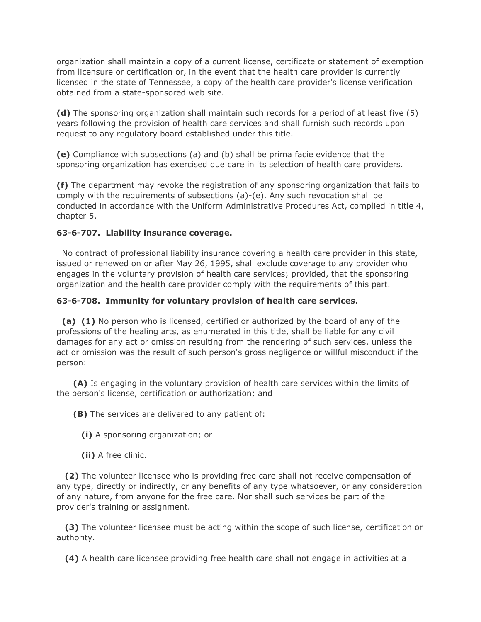organization shall maintain a copy of a current license, certificate or statement of exemption from licensure or certification or, in the event that the health care provider is currently licensed in the state of Tennessee, a copy of the health care provider's license verification obtained from a state-sponsored web site.

**(d)** The sponsoring organization shall maintain such records for a period of at least five (5) years following the provision of health care services and shall furnish such records upon request to any regulatory board established under this title.

**(e)** Compliance with subsections (a) and (b) shall be prima facie evidence that the sponsoring organization has exercised due care in its selection of health care providers.

**(f)** The department may revoke the registration of any sponsoring organization that fails to comply with the requirements of subsections (a)-(e). Any such revocation shall be conducted in accordance with the Uniform Administrative Procedures Act, complied in title 4, chapter 5.

# **63-6-707. Liability insurance coverage.**

 No contract of professional liability insurance covering a health care provider in this state, issued or renewed on or after May 26, 1995, shall exclude coverage to any provider who engages in the voluntary provision of health care services; provided, that the sponsoring organization and the health care provider comply with the requirements of this part.

# **63-6-708. Immunity for voluntary provision of health care services.**

 **(a) (1)** No person who is licensed, certified or authorized by the board of any of the professions of the healing arts, as enumerated in this title, shall be liable for any civil damages for any act or omission resulting from the rendering of such services, unless the act or omission was the result of such person's gross negligence or willful misconduct if the person:

 **(A)** Is engaging in the voluntary provision of health care services within the limits of the person's license, certification or authorization; and

**(B)** The services are delivered to any patient of:

- **(i)** A sponsoring organization; or
- **(ii)** A free clinic.

 **(2)** The volunteer licensee who is providing free care shall not receive compensation of any type, directly or indirectly, or any benefits of any type whatsoever, or any consideration of any nature, from anyone for the free care. Nor shall such services be part of the provider's training or assignment.

 **(3)** The volunteer licensee must be acting within the scope of such license, certification or authority.

**(4)** A health care licensee providing free health care shall not engage in activities at a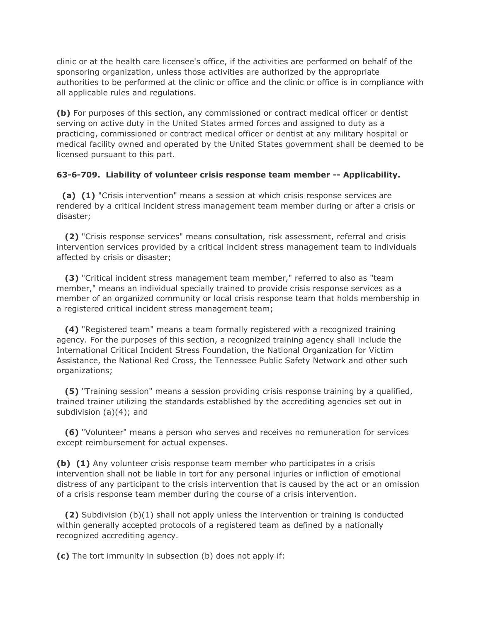clinic or at the health care licensee's office, if the activities are performed on behalf of the sponsoring organization, unless those activities are authorized by the appropriate authorities to be performed at the clinic or office and the clinic or office is in compliance with all applicable rules and regulations.

**(b)** For purposes of this section, any commissioned or contract medical officer or dentist serving on active duty in the United States armed forces and assigned to duty as a practicing, commissioned or contract medical officer or dentist at any military hospital or medical facility owned and operated by the United States government shall be deemed to be licensed pursuant to this part.

## **63-6-709. Liability of volunteer crisis response team member -- Applicability.**

 **(a) (1)** "Crisis intervention" means a session at which crisis response services are rendered by a critical incident stress management team member during or after a crisis or disaster;

 **(2)** "Crisis response services" means consultation, risk assessment, referral and crisis intervention services provided by a critical incident stress management team to individuals affected by crisis or disaster;

 **(3)** "Critical incident stress management team member," referred to also as "team member," means an individual specially trained to provide crisis response services as a member of an organized community or local crisis response team that holds membership in a registered critical incident stress management team;

 **(4)** "Registered team" means a team formally registered with a recognized training agency. For the purposes of this section, a recognized training agency shall include the International Critical Incident Stress Foundation, the National Organization for Victim Assistance, the National Red Cross, the Tennessee Public Safety Network and other such organizations;

 **(5)** "Training session" means a session providing crisis response training by a qualified, trained trainer utilizing the standards established by the accrediting agencies set out in subdivision (a)(4); and

 **(6)** "Volunteer" means a person who serves and receives no remuneration for services except reimbursement for actual expenses.

**(b) (1)** Any volunteer crisis response team member who participates in a crisis intervention shall not be liable in tort for any personal injuries or infliction of emotional distress of any participant to the crisis intervention that is caused by the act or an omission of a crisis response team member during the course of a crisis intervention.

 **(2)** Subdivision (b)(1) shall not apply unless the intervention or training is conducted within generally accepted protocols of a registered team as defined by a nationally recognized accrediting agency.

**(c)** The tort immunity in subsection (b) does not apply if: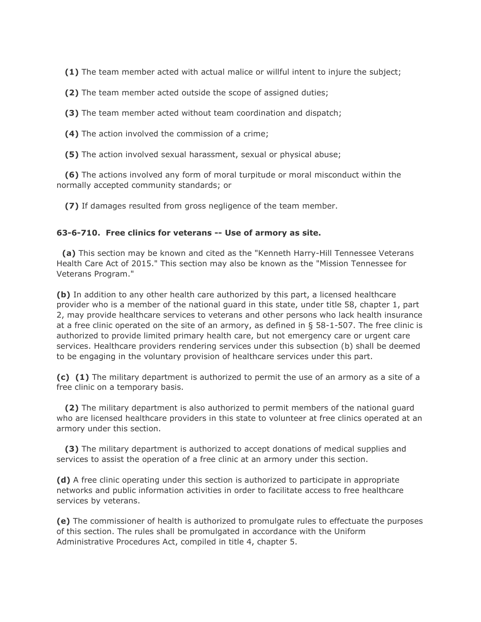**(1)** The team member acted with actual malice or willful intent to injure the subject;

**(2)** The team member acted outside the scope of assigned duties;

**(3)** The team member acted without team coordination and dispatch;

**(4)** The action involved the commission of a crime;

**(5)** The action involved sexual harassment, sexual or physical abuse;

 **(6)** The actions involved any form of moral turpitude or moral misconduct within the normally accepted community standards; or

**(7)** If damages resulted from gross negligence of the team member.

### **63-6-710. Free clinics for veterans -- Use of armory as site.**

 **(a)** This section may be known and cited as the "Kenneth Harry-Hill Tennessee Veterans Health Care Act of 2015." This section may also be known as the "Mission Tennessee for Veterans Program."

**(b)** In addition to any other health care authorized by this part, a licensed healthcare provider who is a member of the national guard in this state, under title 58, chapter 1, part 2, may provide healthcare services to veterans and other persons who lack health insurance at a free clinic operated on the site of an armory, as defined in § 58-1-507. The free clinic is authorized to provide limited primary health care, but not emergency care or urgent care services. Healthcare providers rendering services under this subsection (b) shall be deemed to be engaging in the voluntary provision of healthcare services under this part.

**(c) (1)** The military department is authorized to permit the use of an armory as a site of a free clinic on a temporary basis.

 **(2)** The military department is also authorized to permit members of the national guard who are licensed healthcare providers in this state to volunteer at free clinics operated at an armory under this section.

 **(3)** The military department is authorized to accept donations of medical supplies and services to assist the operation of a free clinic at an armory under this section.

**(d)** A free clinic operating under this section is authorized to participate in appropriate networks and public information activities in order to facilitate access to free healthcare services by veterans.

**(e)** The commissioner of health is authorized to promulgate rules to effectuate the purposes of this section. The rules shall be promulgated in accordance with the Uniform Administrative Procedures Act, compiled in title 4, chapter 5.